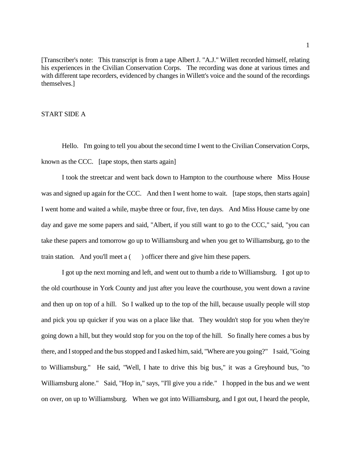[Transcriber's note: This transcript is from a tape Albert J. "A.J." Willett recorded himself, relating his experiences in the Civilian Conservation Corps. The recording was done at various times and with different tape recorders, evidenced by changes in Willett's voice and the sound of the recordings themselves.]

## START SIDE A

Hello. I'm going to tell you about the second time I went to the Civilian Conservation Corps, known as the CCC. [tape stops, then starts again]

I took the streetcar and went back down to Hampton to the courthouse where Miss House was and signed up again for the CCC. And then I went home to wait. [tape stops, then starts again] I went home and waited a while, maybe three or four, five, ten days. And Miss House came by one day and gave me some papers and said, "Albert, if you still want to go to the CCC," said, "you can take these papers and tomorrow go up to Williamsburg and when you get to Williamsburg, go to the train station. And you'll meet  $a$  ( ) officer there and give him these papers.

I got up the next morning and left, and went out to thumb a ride to Williamsburg. I got up to the old courthouse in York County and just after you leave the courthouse, you went down a ravine and then up on top of a hill. So I walked up to the top of the hill, because usually people will stop and pick you up quicker if you was on a place like that. They wouldn't stop for you when they're going down a hill, but they would stop for you on the top of the hill. So finally here comes a bus by there, and I stopped and the bus stopped and I asked him, said, "Where are you going?" I said, "Going to Williamsburg." He said, "Well, I hate to drive this big bus," it was a Greyhound bus, "to Williamsburg alone." Said, "Hop in," says, "I'll give you a ride." I hopped in the bus and we went on over, on up to Williamsburg. When we got into Williamsburg, and I got out, I heard the people,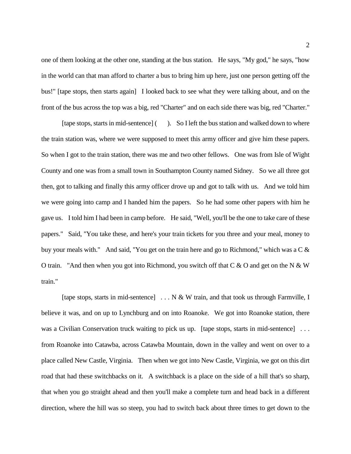one of them looking at the other one, standing at the bus station. He says, "My god," he says, "how in the world can that man afford to charter a bus to bring him up here, just one person getting off the bus!" [tape stops, then starts again] I looked back to see what they were talking about, and on the front of the bus across the top was a big, red "Charter" and on each side there was big, red "Charter."

[tape stops, starts in mid-sentence] ( ). So I left the bus station and walked down to where the train station was, where we were supposed to meet this army officer and give him these papers. So when I got to the train station, there was me and two other fellows. One was from Isle of Wight County and one was from a small town in Southampton County named Sidney. So we all three got then, got to talking and finally this army officer drove up and got to talk with us. And we told him we were going into camp and I handed him the papers. So he had some other papers with him he gave us. I told him I had been in camp before. He said, "Well, you'll be the one to take care of these papers." Said, "You take these, and here's your train tickets for you three and your meal, money to buy your meals with." And said, "You get on the train here and go to Richmond," which was a C & O train. "And then when you got into Richmond, you switch off that  $C & O$  and get on the N  $& W$ train."

[tape stops, starts in mid-sentence] . . . N & W train, and that took us through Farmville, I believe it was, and on up to Lynchburg and on into Roanoke. We got into Roanoke station, there was a Civilian Conservation truck waiting to pick us up. [tape stops, starts in mid-sentence] ... from Roanoke into Catawba, across Catawba Mountain, down in the valley and went on over to a place called New Castle, Virginia. Then when we got into New Castle, Virginia, we got on this dirt road that had these switchbacks on it. A switchback is a place on the side of a hill that's so sharp, that when you go straight ahead and then you'll make a complete turn and head back in a different direction, where the hill was so steep, you had to switch back about three times to get down to the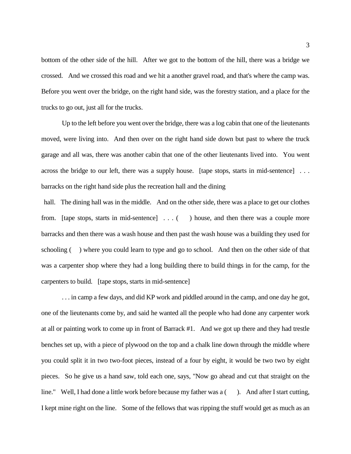bottom of the other side of the hill. After we got to the bottom of the hill, there was a bridge we crossed. And we crossed this road and we hit a another gravel road, and that's where the camp was. Before you went over the bridge, on the right hand side, was the forestry station, and a place for the trucks to go out, just all for the trucks.

Up to the left before you went over the bridge, there was a log cabin that one of the lieutenants moved, were living into. And then over on the right hand side down but past to where the truck garage and all was, there was another cabin that one of the other lieutenants lived into. You went across the bridge to our left, there was a supply house. [tape stops, starts in mid-sentence] . . . barracks on the right hand side plus the recreation hall and the dining

hall. The dining hall was in the middle. And on the other side, there was a place to get our clothes from. [tape stops, starts in mid-sentence] . . . ( ) house, and then there was a couple more barracks and then there was a wash house and then past the wash house was a building they used for schooling () where you could learn to type and go to school. And then on the other side of that was a carpenter shop where they had a long building there to build things in for the camp, for the carpenters to build. [tape stops, starts in mid-sentence]

... in camp a few days, and did KP work and piddled around in the camp, and one day he got, one of the lieutenants come by, and said he wanted all the people who had done any carpenter work at all or painting work to come up in front of Barrack #1. And we got up there and they had trestle benches set up, with a piece of plywood on the top and a chalk line down through the middle where you could split it in two two-foot pieces, instead of a four by eight, it would be two two by eight pieces. So he give us a hand saw, told each one, says, "Now go ahead and cut that straight on the line." Well, I had done a little work before because my father was a (). And after I start cutting, I kept mine right on the line. Some of the fellows that was ripping the stuff would get as much as an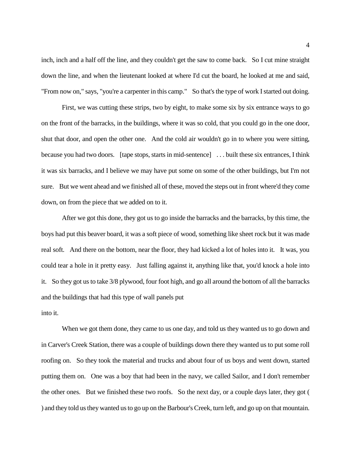inch, inch and a half off the line, and they couldn't get the saw to come back. So I cut mine straight down the line, and when the lieutenant looked at where I'd cut the board, he looked at me and said, "From now on," says, "you're a carpenter in this camp." So that's the type of work I started out doing.

First, we was cutting these strips, two by eight, to make some six by six entrance ways to go on the front of the barracks, in the buildings, where it was so cold, that you could go in the one door, shut that door, and open the other one. And the cold air wouldn't go in to where you were sitting, because you had two doors. [tape stops, starts in mid-sentence] . . . built these six entrances, I think it was six barracks, and I believe we may have put some on some of the other buildings, but I'm not sure. But we went ahead and we finished all of these, moved the steps out in front where'd they come down, on from the piece that we added on to it.

After we got this done, they got us to go inside the barracks and the barracks, by this time, the boys had put this beaver board, it was a soft piece of wood, something like sheet rock but it was made real soft. And there on the bottom, near the floor, they had kicked a lot of holes into it. It was, you could tear a hole in it pretty easy. Just falling against it, anything like that, you'd knock a hole into it. So they got us to take 3/8 plywood, four foot high, and go all around the bottom of all the barracks and the buildings that had this type of wall panels put

## into it.

When we got them done, they came to us one day, and told us they wanted us to go down and in Carver's Creek Station, there was a couple of buildings down there they wanted us to put some roll roofing on. So they took the material and trucks and about four of us boys and went down, started putting them on. One was a boy that had been in the navy, we called Sailor, and I don't remember the other ones. But we finished these two roofs. So the next day, or a couple days later, they got ( ) and they told us they wanted us to go up on the Barbour's Creek, turn left, and go up on that mountain.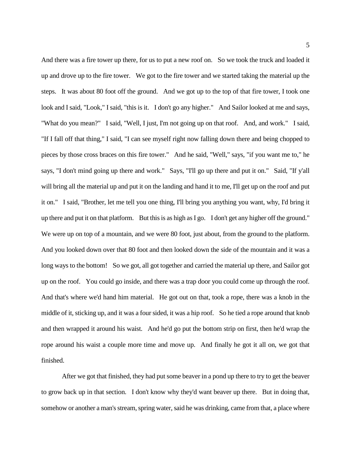And there was a fire tower up there, for us to put a new roof on. So we took the truck and loaded it up and drove up to the fire tower. We got to the fire tower and we started taking the material up the steps. It was about 80 foot off the ground. And we got up to the top of that fire tower, I took one look and I said, "Look," I said, "this is it. I don't go any higher." And Sailor looked at me and says, "What do you mean?" I said, "Well, I just, I'm not going up on that roof. And, and work." I said, "If I fall off that thing," I said, "I can see myself right now falling down there and being chopped to pieces by those cross braces on this fire tower." And he said, "Well," says, "if you want me to," he says, "I don't mind going up there and work." Says, "I'll go up there and put it on." Said, "If y'all will bring all the material up and put it on the landing and hand it to me, I'll get up on the roof and put it on." I said, "Brother, let me tell you one thing, I'll bring you anything you want, why, I'd bring it up there and put it on that platform. But this is as high as I go. I don't get any higher off the ground." We were up on top of a mountain, and we were 80 foot, just about, from the ground to the platform. And you looked down over that 80 foot and then looked down the side of the mountain and it was a long ways to the bottom! So we got, all got together and carried the material up there, and Sailor got up on the roof. You could go inside, and there was a trap door you could come up through the roof. And that's where we'd hand him material. He got out on that, took a rope, there was a knob in the middle of it, sticking up, and it was a four sided, it was a hip roof. So he tied a rope around that knob and then wrapped it around his waist. And he'd go put the bottom strip on first, then he'd wrap the rope around his waist a couple more time and move up. And finally he got it all on, we got that finished.

After we got that finished, they had put some beaver in a pond up there to try to get the beaver to grow back up in that section. I don't know why they'd want beaver up there. But in doing that, somehow or another a man's stream, spring water, said he was drinking, came from that, a place where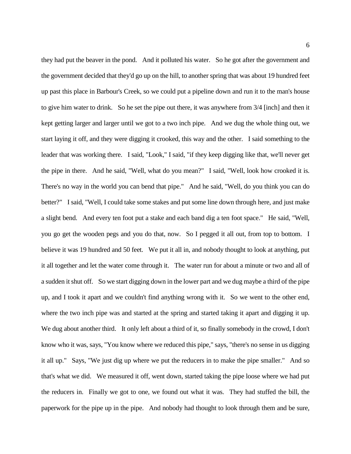they had put the beaver in the pond. And it polluted his water. So he got after the government and the government decided that they'd go up on the hill, to another spring that was about 19 hundred feet up past this place in Barbour's Creek, so we could put a pipeline down and run it to the man's house to give him water to drink. So he set the pipe out there, it was anywhere from 3/4 [inch] and then it kept getting larger and larger until we got to a two inch pipe. And we dug the whole thing out, we start laying it off, and they were digging it crooked, this way and the other. I said something to the leader that was working there. I said, "Look," I said, "if they keep digging like that, we'll never get the pipe in there. And he said, "Well, what do you mean?" I said, "Well, look how crooked it is. There's no way in the world you can bend that pipe." And he said, "Well, do you think you can do better?" I said, "Well, I could take some stakes and put some line down through here, and just make a slight bend. And every ten foot put a stake and each band dig a ten foot space." He said, "Well, you go get the wooden pegs and you do that, now. So I pegged it all out, from top to bottom. I believe it was 19 hundred and 50 feet. We put it all in, and nobody thought to look at anything, put it all together and let the water come through it. The water run for about a minute or two and all of a sudden it shut off. So we start digging down in the lower part and we dug maybe a third of the pipe up, and I took it apart and we couldn't find anything wrong with it. So we went to the other end, where the two inch pipe was and started at the spring and started taking it apart and digging it up. We dug about another third. It only left about a third of it, so finally somebody in the crowd, I don't know who it was, says, "You know where we reduced this pipe," says, "there's no sense in us digging it all up." Says, "We just dig up where we put the reducers in to make the pipe smaller." And so that's what we did. We measured it off, went down, started taking the pipe loose where we had put the reducers in. Finally we got to one, we found out what it was. They had stuffed the bill, the paperwork for the pipe up in the pipe. And nobody had thought to look through them and be sure,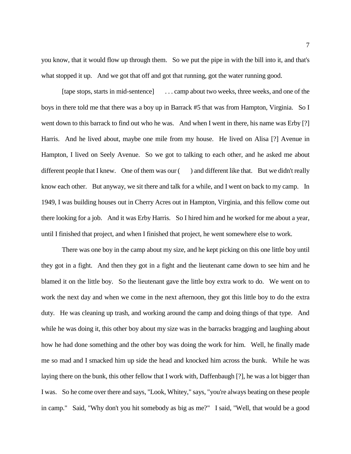you know, that it would flow up through them. So we put the pipe in with the bill into it, and that's what stopped it up. And we got that off and got that running, got the water running good.

[tape stops, starts in mid-sentence] . . . camp about two weeks, three weeks, and one of the boys in there told me that there was a boy up in Barrack #5 that was from Hampton, Virginia. So I went down to this barrack to find out who he was. And when I went in there, his name was Erby [?] Harris. And he lived about, maybe one mile from my house. He lived on Alisa [?] Avenue in Hampton, I lived on Seely Avenue. So we got to talking to each other, and he asked me about different people that I knew. One of them was our ( ) and different like that. But we didn't really know each other. But anyway, we sit there and talk for a while, and I went on back to my camp. In 1949, I was building houses out in Cherry Acres out in Hampton, Virginia, and this fellow come out there looking for a job. And it was Erby Harris. So I hired him and he worked for me about a year, until I finished that project, and when I finished that project, he went somewhere else to work.

There was one boy in the camp about my size, and he kept picking on this one little boy until they got in a fight. And then they got in a fight and the lieutenant came down to see him and he blamed it on the little boy. So the lieutenant gave the little boy extra work to do. We went on to work the next day and when we come in the next afternoon, they got this little boy to do the extra duty. He was cleaning up trash, and working around the camp and doing things of that type. And while he was doing it, this other boy about my size was in the barracks bragging and laughing about how he had done something and the other boy was doing the work for him. Well, he finally made me so mad and I smacked him up side the head and knocked him across the bunk. While he was laying there on the bunk, this other fellow that I work with, Daffenbaugh [?], he was a lot bigger than I was. So he come over there and says, "Look, Whitey," says, "you're always beating on these people in camp." Said, "Why don't you hit somebody as big as me?" I said, "Well, that would be a good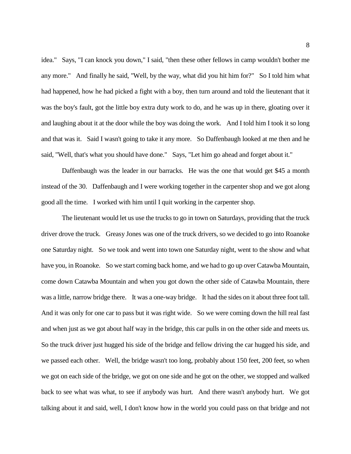idea." Says, "I can knock you down," I said, "then these other fellows in camp wouldn't bother me any more." And finally he said, "Well, by the way, what did you hit him for?" So I told him what had happened, how he had picked a fight with a boy, then turn around and told the lieutenant that it was the boy's fault, got the little boy extra duty work to do, and he was up in there, gloating over it and laughing about it at the door while the boy was doing the work. And I told him I took it so long and that was it. Said I wasn't going to take it any more. So Daffenbaugh looked at me then and he said, "Well, that's what you should have done." Says, "Let him go ahead and forget about it."

Daffenbaugh was the leader in our barracks. He was the one that would get \$45 a month instead of the 30. Daffenbaugh and I were working together in the carpenter shop and we got along good all the time. I worked with him until I quit working in the carpenter shop.

The lieutenant would let us use the trucks to go in town on Saturdays, providing that the truck driver drove the truck. Greasy Jones was one of the truck drivers, so we decided to go into Roanoke one Saturday night. So we took and went into town one Saturday night, went to the show and what have you, in Roanoke. So we start coming back home, and we had to go up over Catawba Mountain, come down Catawba Mountain and when you got down the other side of Catawba Mountain, there was a little, narrow bridge there. It was a one-way bridge. It had the sides on it about three foot tall. And it was only for one car to pass but it was right wide. So we were coming down the hill real fast and when just as we got about half way in the bridge, this car pulls in on the other side and meets us. So the truck driver just hugged his side of the bridge and fellow driving the car hugged his side, and we passed each other. Well, the bridge wasn't too long, probably about 150 feet, 200 feet, so when we got on each side of the bridge, we got on one side and he got on the other, we stopped and walked back to see what was what, to see if anybody was hurt. And there wasn't anybody hurt. We got talking about it and said, well, I don't know how in the world you could pass on that bridge and not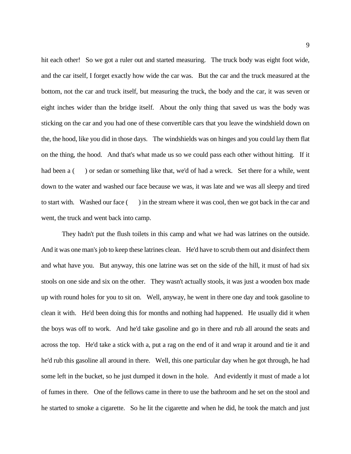hit each other! So we got a ruler out and started measuring. The truck body was eight foot wide, and the car itself, I forget exactly how wide the car was. But the car and the truck measured at the bottom, not the car and truck itself, but measuring the truck, the body and the car, it was seven or eight inches wider than the bridge itself. About the only thing that saved us was the body was sticking on the car and you had one of these convertible cars that you leave the windshield down on the, the hood, like you did in those days. The windshields was on hinges and you could lay them flat on the thing, the hood. And that's what made us so we could pass each other without hitting. If it had been a () or sedan or something like that, we'd of had a wreck. Set there for a while, went down to the water and washed our face because we was, it was late and we was all sleepy and tired to start with. Washed our face ( ) in the stream where it was cool, then we got back in the car and went, the truck and went back into camp.

They hadn't put the flush toilets in this camp and what we had was latrines on the outside. And it was one man's job to keep these latrines clean. He'd have to scrub them out and disinfect them and what have you. But anyway, this one latrine was set on the side of the hill, it must of had six stools on one side and six on the other. They wasn't actually stools, it was just a wooden box made up with round holes for you to sit on. Well, anyway, he went in there one day and took gasoline to clean it with. He'd been doing this for months and nothing had happened. He usually did it when the boys was off to work. And he'd take gasoline and go in there and rub all around the seats and across the top. He'd take a stick with a, put a rag on the end of it and wrap it around and tie it and he'd rub this gasoline all around in there. Well, this one particular day when he got through, he had some left in the bucket, so he just dumped it down in the hole. And evidently it must of made a lot of fumes in there. One of the fellows came in there to use the bathroom and he set on the stool and he started to smoke a cigarette. So he lit the cigarette and when he did, he took the match and just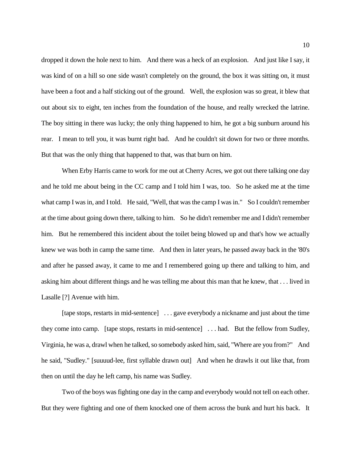dropped it down the hole next to him. And there was a heck of an explosion. And just like I say, it was kind of on a hill so one side wasn't completely on the ground, the box it was sitting on, it must have been a foot and a half sticking out of the ground. Well, the explosion was so great, it blew that out about six to eight, ten inches from the foundation of the house, and really wrecked the latrine. The boy sitting in there was lucky; the only thing happened to him, he got a big sunburn around his rear. I mean to tell you, it was burnt right bad. And he couldn't sit down for two or three months. But that was the only thing that happened to that, was that burn on him.

When Erby Harris came to work for me out at Cherry Acres, we got out there talking one day and he told me about being in the CC camp and I told him I was, too. So he asked me at the time what camp I was in, and I told. He said, "Well, that was the camp I was in." So I couldn't remember at the time about going down there, talking to him. So he didn't remember me and I didn't remember him. But he remembered this incident about the toilet being blowed up and that's how we actually knew we was both in camp the same time. And then in later years, he passed away back in the '80's and after he passed away, it came to me and I remembered going up there and talking to him, and asking him about different things and he was telling me about this man that he knew, that . . . lived in Lasalle [?] Avenue with him.

[tape stops, restarts in mid-sentence] . . . gave everybody a nickname and just about the time they come into camp. [tape stops, restarts in mid-sentence] . . . had. But the fellow from Sudley, Virginia, he was a, drawl when he talked, so somebody asked him, said, "Where are you from?" And he said, "Sudley." [suuuud-lee, first syllable drawn out] And when he drawls it out like that, from then on until the day he left camp, his name was Sudley.

Two of the boys was fighting one day in the camp and everybody would not tell on each other. But they were fighting and one of them knocked one of them across the bunk and hurt his back. It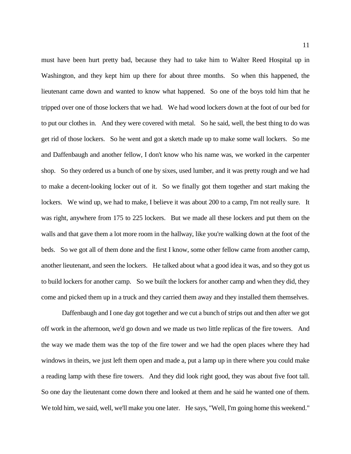must have been hurt pretty bad, because they had to take him to Walter Reed Hospital up in Washington, and they kept him up there for about three months. So when this happened, the lieutenant came down and wanted to know what happened. So one of the boys told him that he tripped over one of those lockers that we had. We had wood lockers down at the foot of our bed for to put our clothes in. And they were covered with metal. So he said, well, the best thing to do was get rid of those lockers. So he went and got a sketch made up to make some wall lockers. So me and Daffenbaugh and another fellow, I don't know who his name was, we worked in the carpenter shop. So they ordered us a bunch of one by sixes, used lumber, and it was pretty rough and we had to make a decent-looking locker out of it. So we finally got them together and start making the lockers. We wind up, we had to make, I believe it was about 200 to a camp, I'm not really sure. It was right, anywhere from 175 to 225 lockers. But we made all these lockers and put them on the walls and that gave them a lot more room in the hallway, like you're walking down at the foot of the beds. So we got all of them done and the first I know, some other fellow came from another camp, another lieutenant, and seen the lockers. He talked about what a good idea it was, and so they got us to build lockers for another camp. So we built the lockers for another camp and when they did, they come and picked them up in a truck and they carried them away and they installed them themselves.

Daffenbaugh and I one day got together and we cut a bunch of strips out and then after we got off work in the afternoon, we'd go down and we made us two little replicas of the fire towers. And the way we made them was the top of the fire tower and we had the open places where they had windows in theirs, we just left them open and made a, put a lamp up in there where you could make a reading lamp with these fire towers. And they did look right good, they was about five foot tall. So one day the lieutenant come down there and looked at them and he said he wanted one of them. We told him, we said, well, we'll make you one later. He says, "Well, I'm going home this weekend."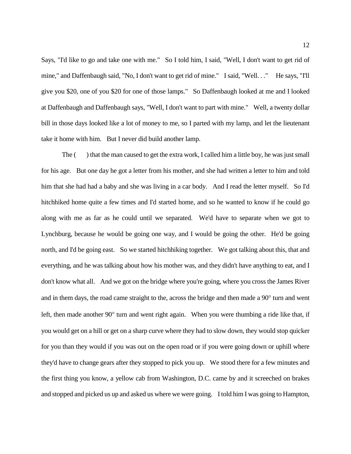Says, "I'd like to go and take one with me." So I told him, I said, "Well, I don't want to get rid of mine," and Daffenbaugh said, "No, I don't want to get rid of mine." I said, "Well. . ." He says, "I'll give you \$20, one of you \$20 for one of those lamps." So Daffenbaugh looked at me and I looked at Daffenbaugh and Daffenbaugh says, "Well, I don't want to part with mine." Well, a twenty dollar bill in those days looked like a lot of money to me, so I parted with my lamp, and let the lieutenant take it home with him. But I never did build another lamp.

The () that the man caused to get the extra work, I called him a little boy, he was just small for his age. But one day he got a letter from his mother, and she had written a letter to him and told him that she had had a baby and she was living in a car body. And I read the letter myself. So I'd hitchhiked home quite a few times and I'd started home, and so he wanted to know if he could go along with me as far as he could until we separated. We'd have to separate when we got to Lynchburg, because he would be going one way, and I would be going the other. He'd be going north, and I'd be going east. So we started hitchhiking together. We got talking about this, that and everything, and he was talking about how his mother was, and they didn't have anything to eat, and I don't know what all. And we got on the bridge where you're going, where you cross the James River and in them days, the road came straight to the, across the bridge and then made a 90° turn and went left, then made another 90° turn and went right again. When you were thumbing a ride like that, if you would get on a hill or get on a sharp curve where they had to slow down, they would stop quicker for you than they would if you was out on the open road or if you were going down or uphill where they'd have to change gears after they stopped to pick you up. We stood there for a few minutes and the first thing you know, a yellow cab from Washington, D.C. came by and it screeched on brakes and stopped and picked us up and asked us where we were going. I told him I was going to Hampton,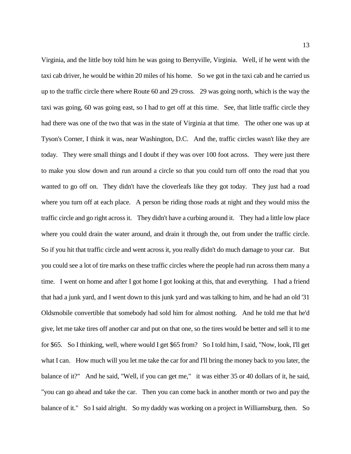Virginia, and the little boy told him he was going to Berryville, Virginia. Well, if he went with the taxi cab driver, he would be within 20 miles of his home. So we got in the taxi cab and he carried us up to the traffic circle there where Route 60 and 29 cross. 29 was going north, which is the way the taxi was going, 60 was going east, so I had to get off at this time. See, that little traffic circle they had there was one of the two that was in the state of Virginia at that time. The other one was up at Tyson's Corner, I think it was, near Washington, D.C. And the, traffic circles wasn't like they are today. They were small things and I doubt if they was over 100 foot across. They were just there to make you slow down and run around a circle so that you could turn off onto the road that you wanted to go off on. They didn't have the cloverleafs like they got today. They just had a road where you turn off at each place. A person be riding those roads at night and they would miss the traffic circle and go right across it. They didn't have a curbing around it. They had a little low place where you could drain the water around, and drain it through the, out from under the traffic circle. So if you hit that traffic circle and went across it, you really didn't do much damage to your car. But you could see a lot of tire marks on these traffic circles where the people had run across them many a time. I went on home and after I got home I got looking at this, that and everything. I had a friend that had a junk yard, and I went down to this junk yard and was talking to him, and he had an old '31 Oldsmobile convertible that somebody had sold him for almost nothing. And he told me that he'd give, let me take tires off another car and put on that one, so the tires would be better and sell it to me for \$65. So I thinking, well, where would I get \$65 from? So I told him, I said, "Now, look, I'll get what I can. How much will you let me take the car for and I'll bring the money back to you later, the balance of it?" And he said, "Well, if you can get me," it was either 35 or 40 dollars of it, he said, "you can go ahead and take the car. Then you can come back in another month or two and pay the balance of it." So I said alright. So my daddy was working on a project in Williamsburg, then. So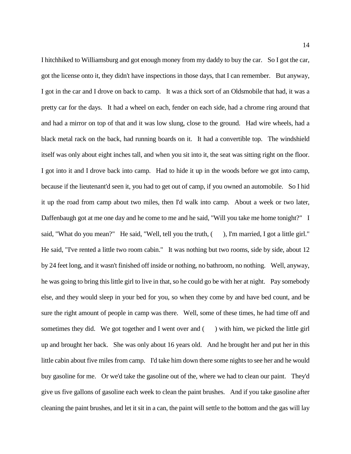I hitchhiked to Williamsburg and got enough money from my daddy to buy the car. So I got the car, got the license onto it, they didn't have inspections in those days, that I can remember. But anyway, I got in the car and I drove on back to camp. It was a thick sort of an Oldsmobile that had, it was a pretty car for the days. It had a wheel on each, fender on each side, had a chrome ring around that and had a mirror on top of that and it was low slung, close to the ground. Had wire wheels, had a black metal rack on the back, had running boards on it. It had a convertible top. The windshield itself was only about eight inches tall, and when you sit into it, the seat was sitting right on the floor. I got into it and I drove back into camp. Had to hide it up in the woods before we got into camp, because if the lieutenant'd seen it, you had to get out of camp, if you owned an automobile. So I hid it up the road from camp about two miles, then I'd walk into camp. About a week or two later, Daffenbaugh got at me one day and he come to me and he said, "Will you take me home tonight?" I said, "What do you mean?" He said, "Well, tell you the truth, (), I'm married, I got a little girl." He said, "I've rented a little two room cabin." It was nothing but two rooms, side by side, about 12 by 24 feet long, and it wasn't finished off inside or nothing, no bathroom, no nothing. Well, anyway, he was going to bring this little girl to live in that, so he could go be with her at night. Pay somebody else, and they would sleep in your bed for you, so when they come by and have bed count, and be sure the right amount of people in camp was there. Well, some of these times, he had time off and sometimes they did. We got together and I went over and  $($ ) with him, we picked the little girl up and brought her back. She was only about 16 years old. And he brought her and put her in this little cabin about five miles from camp. I'd take him down there some nights to see her and he would buy gasoline for me. Or we'd take the gasoline out of the, where we had to clean our paint. They'd give us five gallons of gasoline each week to clean the paint brushes. And if you take gasoline after cleaning the paint brushes, and let it sit in a can, the paint will settle to the bottom and the gas will lay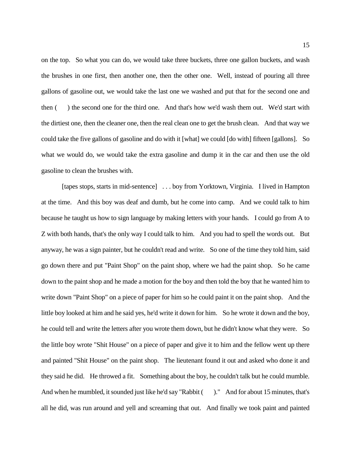on the top. So what you can do, we would take three buckets, three one gallon buckets, and wash the brushes in one first, then another one, then the other one. Well, instead of pouring all three gallons of gasoline out, we would take the last one we washed and put that for the second one and then ( ) the second one for the third one. And that's how we'd wash them out. We'd start with the dirtiest one, then the cleaner one, then the real clean one to get the brush clean. And that way we could take the five gallons of gasoline and do with it [what] we could [do with] fifteen [gallons]. So what we would do, we would take the extra gasoline and dump it in the car and then use the old gasoline to clean the brushes with.

[tapes stops, starts in mid-sentence] . . . boy from Yorktown, Virginia. I lived in Hampton at the time. And this boy was deaf and dumb, but he come into camp. And we could talk to him because he taught us how to sign language by making letters with your hands. I could go from A to Z with both hands, that's the only way I could talk to him. And you had to spell the words out. But anyway, he was a sign painter, but he couldn't read and write. So one of the time they told him, said go down there and put "Paint Shop" on the paint shop, where we had the paint shop. So he came down to the paint shop and he made a motion for the boy and then told the boy that he wanted him to write down "Paint Shop" on a piece of paper for him so he could paint it on the paint shop. And the little boy looked at him and he said yes, he'd write it down for him. So he wrote it down and the boy, he could tell and write the letters after you wrote them down, but he didn't know what they were. So the little boy wrote "Shit House" on a piece of paper and give it to him and the fellow went up there and painted "Shit House" on the paint shop. The lieutenant found it out and asked who done it and they said he did. He throwed a fit. Something about the boy, he couldn't talk but he could mumble. And when he mumbled, it sounded just like he'd say "Rabbit ()." And for about 15 minutes, that's all he did, was run around and yell and screaming that out. And finally we took paint and painted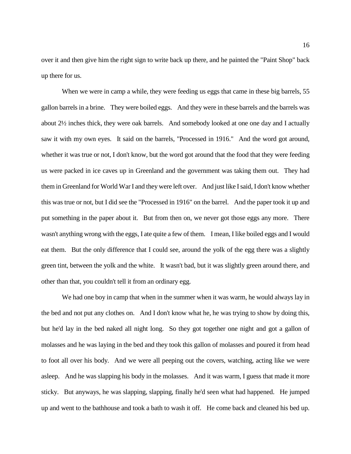over it and then give him the right sign to write back up there, and he painted the "Paint Shop" back up there for us.

When we were in camp a while, they were feeding us eggs that came in these big barrels, 55 gallon barrels in a brine. They were boiled eggs. And they were in these barrels and the barrels was about 2½ inches thick, they were oak barrels. And somebody looked at one one day and I actually saw it with my own eyes. It said on the barrels, "Processed in 1916." And the word got around, whether it was true or not, I don't know, but the word got around that the food that they were feeding us were packed in ice caves up in Greenland and the government was taking them out. They had them in Greenland for World War I and they were left over. And just like I said, I don't know whether this was true or not, but I did see the "Processed in 1916" on the barrel. And the paper took it up and put something in the paper about it. But from then on, we never got those eggs any more. There wasn't anything wrong with the eggs, I ate quite a few of them. I mean, I like boiled eggs and I would eat them. But the only difference that I could see, around the yolk of the egg there was a slightly green tint, between the yolk and the white. It wasn't bad, but it was slightly green around there, and other than that, you couldn't tell it from an ordinary egg.

We had one boy in camp that when in the summer when it was warm, he would always lay in the bed and not put any clothes on. And I don't know what he, he was trying to show by doing this, but he'd lay in the bed naked all night long. So they got together one night and got a gallon of molasses and he was laying in the bed and they took this gallon of molasses and poured it from head to foot all over his body. And we were all peeping out the covers, watching, acting like we were asleep. And he was slapping his body in the molasses. And it was warm, I guess that made it more sticky. But anyways, he was slapping, slapping, finally he'd seen what had happened. He jumped up and went to the bathhouse and took a bath to wash it off. He come back and cleaned his bed up.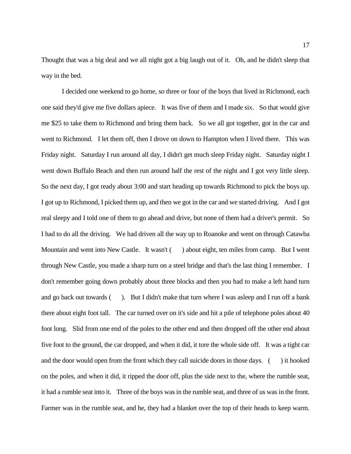Thought that was a big deal and we all night got a big laugh out of it. Oh, and he didn't sleep that way in the bed.

I decided one weekend to go home, so three or four of the boys that lived in Richmond, each one said they'd give me five dollars apiece. It was five of them and I made six. So that would give me \$25 to take them to Richmond and bring them back. So we all got together, got in the car and went to Richmond. I let them off, then I drove on down to Hampton when I lived there. This was Friday night. Saturday I run around all day, I didn't get much sleep Friday night. Saturday night I went down Buffalo Beach and then run around half the rest of the night and I got very little sleep. So the next day, I got ready about 3:00 and start heading up towards Richmond to pick the boys up. I got up to Richmond, I picked them up, and then we got in the car and we started driving. And I got real sleepy and I told one of them to go ahead and drive, but none of them had a driver's permit. So I had to do all the driving. We had driven all the way up to Roanoke and went on through Catawba Mountain and went into New Castle. It wasn't () about eight, ten miles from camp. But I went through New Castle, you made a sharp turn on a steel bridge and that's the last thing I remember. I don't remember going down probably about three blocks and then you had to make a left hand turn and go back out towards (). But I didn't make that turn where I was asleep and I run off a bank there about eight foot tall. The car turned over on it's side and hit a pile of telephone poles about 40 foot long. Slid from one end of the poles to the other end and then dropped off the other end about five foot to the ground, the car dropped, and when it did, it tore the whole side off. It was a tight car and the door would open from the front which they call suicide doors in those days. ( ) it hooked on the poles, and when it did, it ripped the door off, plus the side next to the, where the rumble seat, it had a rumble seat into it. Three of the boys was in the rumble seat, and three of us was in the front. Farmer was in the rumble seat, and he, they had a blanket over the top of their heads to keep warm.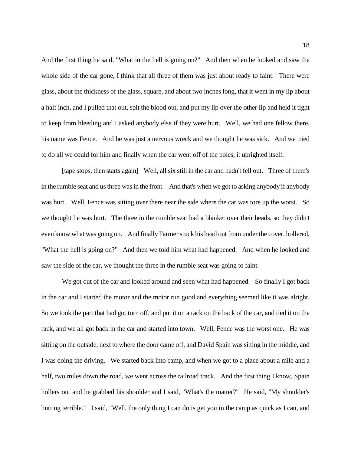And the first thing he said, "What in the hell is going on?" And then when he looked and saw the whole side of the car gone, I think that all three of them was just about ready to faint. There were glass, about the thickness of the glass, square, and about two inches long, that it went in my lip about a half inch, and I pulled that out, spit the blood out, and put my lip over the other lip and held it tight to keep from bleeding and I asked anybody else if they were hurt. Well, we had one fellow there, his name was Fence. And he was just a nervous wreck and we thought he was sick. And we tried to do all we could for him and finally when the car went off of the poles, it uprighted itself.

[tape stops, then starts again] Well, all six still in the car and hadn't fell out. Three of them's in the rumble seat and us three was in the front. And that's when we got to asking anybody if anybody was hurt. Well, Fence was sitting over there near the side where the car was tore up the worst. So we thought he was hurt. The three in the rumble seat had a blanket over their heads, so they didn't even know what was going on. And finally Farmer stuck his head out from under the cover, hollered, "What the hell is going on?" And then we told him what had happened. And when he looked and saw the side of the car, we thought the three in the rumble seat was going to faint.

We got out of the car and looked around and seen what had happened. So finally I got back in the car and I started the motor and the motor run good and everything seemed like it was alright. So we took the part that had got torn off, and put it on a rack on the back of the car, and tied it on the rack, and we all got back in the car and started into town. Well, Fence was the worst one. He was sitting on the outside, next to where the door came off, and David Spain was sitting in the middle, and I was doing the driving. We started back into camp, and when we got to a place about a mile and a half, two miles down the road, we went across the railroad track. And the first thing I know, Spain hollers out and he grabbed his shoulder and I said, "What's the matter?" He said, "My shoulder's hurting terrible." I said, "Well, the only thing I can do is get you in the camp as quick as I can, and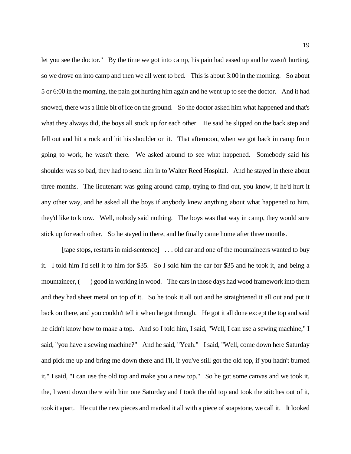let you see the doctor." By the time we got into camp, his pain had eased up and he wasn't hurting, so we drove on into camp and then we all went to bed. This is about 3:00 in the morning. So about 5 or 6:00 in the morning, the pain got hurting him again and he went up to see the doctor. And it had snowed, there was a little bit of ice on the ground. So the doctor asked him what happened and that's what they always did, the boys all stuck up for each other. He said he slipped on the back step and fell out and hit a rock and hit his shoulder on it. That afternoon, when we got back in camp from going to work, he wasn't there. We asked around to see what happened. Somebody said his shoulder was so bad, they had to send him in to Walter Reed Hospital. And he stayed in there about three months. The lieutenant was going around camp, trying to find out, you know, if he'd hurt it any other way, and he asked all the boys if anybody knew anything about what happened to him, they'd like to know. Well, nobody said nothing. The boys was that way in camp, they would sure stick up for each other. So he stayed in there, and he finally came home after three months.

[tape stops, restarts in mid-sentence] . . . old car and one of the mountaineers wanted to buy it. I told him I'd sell it to him for \$35. So I sold him the car for \$35 and he took it, and being a mountaineer, () good in working in wood. The cars in those days had wood framework into them and they had sheet metal on top of it. So he took it all out and he straightened it all out and put it back on there, and you couldn't tell it when he got through. He got it all done except the top and said he didn't know how to make a top. And so I told him, I said, "Well, I can use a sewing machine," I said, "you have a sewing machine?" And he said, "Yeah." I said, "Well, come down here Saturday and pick me up and bring me down there and I'll, if you've still got the old top, if you hadn't burned it," I said, "I can use the old top and make you a new top." So he got some canvas and we took it, the, I went down there with him one Saturday and I took the old top and took the stitches out of it, took it apart. He cut the new pieces and marked it all with a piece of soapstone, we call it. It looked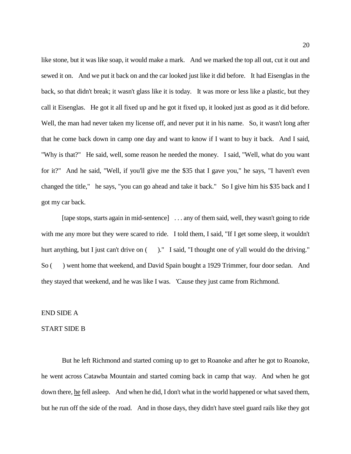like stone, but it was like soap, it would make a mark. And we marked the top all out, cut it out and sewed it on. And we put it back on and the car looked just like it did before. It had Eisenglas in the back, so that didn't break; it wasn't glass like it is today. It was more or less like a plastic, but they call it Eisenglas. He got it all fixed up and he got it fixed up, it looked just as good as it did before. Well, the man had never taken my license off, and never put it in his name. So, it wasn't long after that he come back down in camp one day and want to know if I want to buy it back. And I said, "Why is that?" He said, well, some reason he needed the money. I said, "Well, what do you want for it?" And he said, "Well, if you'll give me the \$35 that I gave you," he says, "I haven't even changed the title," he says, "you can go ahead and take it back." So I give him his \$35 back and I got my car back.

[tape stops, starts again in mid-sentence] . . . any of them said, well, they wasn't going to ride with me any more but they were scared to ride. I told them, I said, "If I get some sleep, it wouldn't hurt anything, but I just can't drive on ()." I said, "I thought one of y'all would do the driving." So ( ) went home that weekend, and David Spain bought a 1929 Trimmer, four door sedan. And they stayed that weekend, and he was like I was. 'Cause they just came from Richmond.

## END SIDE A

#### START SIDE B

But he left Richmond and started coming up to get to Roanoke and after he got to Roanoke, he went across Catawba Mountain and started coming back in camp that way. And when he got down there, he fell asleep. And when he did, I don't what in the world happened or what saved them, but he run off the side of the road. And in those days, they didn't have steel guard rails like they got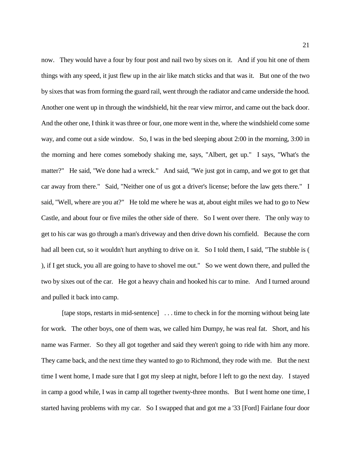now. They would have a four by four post and nail two by sixes on it. And if you hit one of them things with any speed, it just flew up in the air like match sticks and that was it. But one of the two by sixes that was from forming the guard rail, went through the radiator and came underside the hood. Another one went up in through the windshield, hit the rear view mirror, and came out the back door. And the other one, I think it was three or four, one more went in the, where the windshield come some way, and come out a side window. So, I was in the bed sleeping about 2:00 in the morning, 3:00 in the morning and here comes somebody shaking me, says, "Albert, get up." I says, "What's the matter?" He said, "We done had a wreck." And said, "We just got in camp, and we got to get that car away from there." Said, "Neither one of us got a driver's license; before the law gets there." I said, "Well, where are you at?" He told me where he was at, about eight miles we had to go to New Castle, and about four or five miles the other side of there. So I went over there. The only way to get to his car was go through a man's driveway and then drive down his cornfield. Because the corn had all been cut, so it wouldn't hurt anything to drive on it. So I told them, I said, "The stubble is ( ), if I get stuck, you all are going to have to shovel me out." So we went down there, and pulled the two by sixes out of the car. He got a heavy chain and hooked his car to mine. And I turned around and pulled it back into camp.

[tape stops, restarts in mid-sentence] . . . time to check in for the morning without being late for work. The other boys, one of them was, we called him Dumpy, he was real fat. Short, and his name was Farmer. So they all got together and said they weren't going to ride with him any more. They came back, and the next time they wanted to go to Richmond, they rode with me. But the next time I went home, I made sure that I got my sleep at night, before I left to go the next day. I stayed in camp a good while, I was in camp all together twenty-three months. But I went home one time, I started having problems with my car. So I swapped that and got me a '33 [Ford] Fairlane four door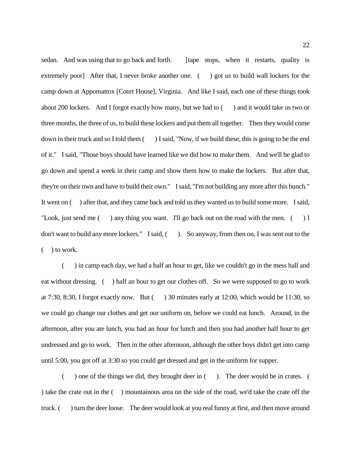sedan. And was using that to go back and forth. [tape stops, when it restarts, quality is extremely poor] After that, I never broke another one. () got us to build wall lockers for the camp down at Appomattox [Court House], Virginia. And like I said, each one of these things took about 200 lockers. And I forgot exactly how many, but we had to ( ) and it would take us two or three months, the three of us, to build these lockers and put them all together. Then they would come down in their truck and so I told them () I said, "Now, if we build these, this is going to be the end of it." I said, "Those boys should have learned like we did how to make them. And we'll be glad to go down and spend a week in their camp and show them how to make the lockers. But after that, they're on their own and have to build their own." I said, "I'm not building any more after this bunch." It went on ( ) after that, and they came back and told us they wanted us to build some more. I said, "Look, just send me () any thing you want. I'll go back out on the road with the men. () I don't want to build any more lockers." I said, ( ). So anyway, from then on, I was sent out to the ( ) to work.

( ) in camp each day, we had a half an hour to get, like we couldn't go in the mess hall and eat without dressing. ( ) half an hour to get our clothes off. So we were supposed to go to work at 7:30, 8:30, I forgot exactly now. But  $($ ) 30 minutes early at 12:00, which would be 11:30, so we could go change our clothes and get our uniform on, before we could eat lunch. Around, in the afternoon, after you ate lunch, you had an hour for lunch and then you had another half hour to get undressed and go to work. Then in the other afternoon, although the other boys didn't get into camp until 5:00, you got off at 3:30 so you could get dressed and get in the uniform for supper.

 $($ ) one of the things we did, they brought deer in  $($ ). The deer would be in crates. ) take the crate out in the ( ) mountainous area on the side of the road, we'd take the crate off the truck. ( ) turn the deer loose. The deer would look at you real funny at first, and then move around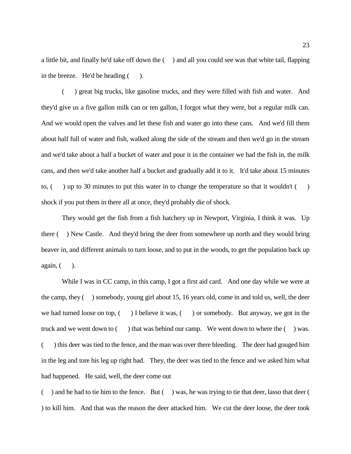a little bit, and finally he'd take off down the ( ) and all you could see was that white tail, flapping in the breeze. He'd be heading ().

( ) great big trucks, like gasoline trucks, and they were filled with fish and water. And they'd give us a five gallon milk can or ten gallon, I forgot what they were, but a regular milk can. And we would open the valves and let these fish and water go into these cans. And we'd fill them about half full of water and fish, walked along the side of the stream and then we'd go in the stream and we'd take about a half a bucket of water and pour it in the container we had the fish in, the milk cans, and then we'd take another half a bucket and gradually add it to it. It'd take about 15 minutes to,  $\left( \n\right)$  up to 30 minutes to put this water in to change the temperature so that it wouldn't  $\left( \n\right)$ shock if you put them in there all at once, they'd probably die of shock.

They would get the fish from a fish hatchery up in Newport, Virginia, I think it was. Up there ( ) New Castle. And they'd bring the deer from somewhere up north and they would bring beaver in, and different animals to turn loose, and to put in the woods, to get the population back up  $again, ($   $).$ 

While I was in CC camp, in this camp, I got a first aid card. And one day while we were at the camp, they ( ) somebody, young girl about 15, 16 years old, come in and told us, well, the deer we had turned loose on top,  $($ ) I believe it was,  $($ ) or somebody. But anyway, we got in the truck and we went down to  $($ ) that was behind our camp. We went down to where the  $($ ) was. ( ) this deer was tied to the fence, and the man was over there bleeding. The deer had gouged him in the leg and tore his leg up right bad. They, the deer was tied to the fence and we asked him what had happened. He said, well, the deer come out

( ) and he had to tie him to the fence. But ( ) was, he was trying to tie that deer, lasso that deer ( ) to kill him. And that was the reason the deer attacked him. We cut the deer loose, the deer took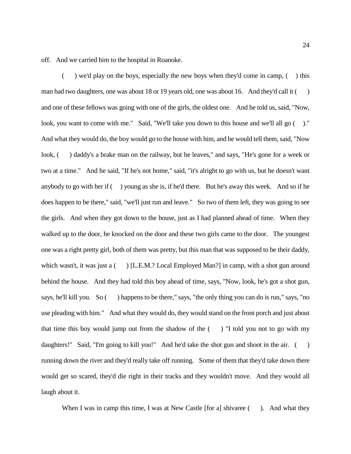off. And we carried him to the hospital in Roanoke.

( $\rightarrow$ ) we'd play on the boys, especially the new boys when they'd come in camp, ( $\rightarrow$ ) this man had two daughters, one was about 18 or 19 years old, one was about 16. And they'd call it () and one of these fellows was going with one of the girls, the oldest one. And he told us, said, "Now, look, you want to come with me." Said, "We'll take you down to this house and we'll all go  $($ )." And what they would do, the boy would go to the house with him, and he would tell them, said, "Now look, () daddy's a brake man on the railway, but he leaves," and says, "He's gone for a week or two at a time." And he said, "If he's not home," said, "it's alright to go with us, but he doesn't want anybody to go with her if  $($ ) young as she is, if he'd there. But he's away this week. And so if he does happen to be there," said, "we'll just run and leave." So two of them left, they was going to see the girls. And when they got down to the house, just as I had planned ahead of time. When they walked up to the door, he knocked on the door and these two girls came to the door. The youngest one was a right pretty girl, both of them was pretty, but this man that was supposed to be their daddy, which wasn't, it was just a ( ) [L.E.M.? Local Employed Man?] in camp, with a shot gun around behind the house. And they had told this boy ahead of time, says, "Now, look, he's got a shot gun, says, he'll kill you. So () happens to be there," says, "the only thing you can do is run," says, "no use pleading with him." And what they would do, they would stand on the front porch and just about that time this boy would jump out from the shadow of the  $($ ) "I told you not to go with my daughters!" Said, "I'm going to kill you!" And he'd take the shot gun and shoot in the air. () running down the river and they'd really take off running. Some of them that they'd take down there would get so scared, they'd die right in their tracks and they wouldn't move. And they would all laugh about it.

When I was in camp this time, I was at New Castle [for a] shivaree (). And what they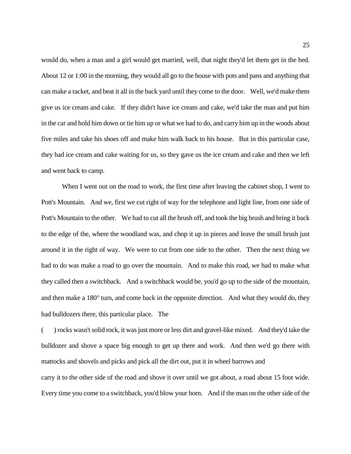would do, when a man and a girl would get married, well, that night they'd let them get in the bed. About 12 or 1:00 in the morning, they would all go to the house with pots and pans and anything that can make a racket, and beat it all in the back yard until they come to the door. Well, we'd make them give us ice cream and cake. If they didn't have ice cream and cake, we'd take the man and put him in the car and hold him down or tie him up or what we had to do, and carry him up in the woods about five miles and take his shoes off and make him walk back to his house. But in this particular case, they had ice cream and cake waiting for us, so they gave us the ice cream and cake and then we left and went back to camp.

When I went out on the road to work, the first time after leaving the cabinet shop, I went to Pott's Mountain. And we, first we cut right of way for the telephone and light line, from one side of Pott's Mountain to the other. We had to cut all the brush off, and took the big brush and bring it back to the edge of the, where the woodland was, and chop it up in pieces and leave the small brush just around it in the right of way. We were to cut from one side to the other. Then the next thing we had to do was make a road to go over the mountain. And to make this road, we had to make what they called then a switchback. And a switchback would be, you'd go up to the side of the mountain, and then make a 180° turn, and come back in the opposite direction. And what they would do, they had bulldozers there, this particular place. The

( ) rocks wasn't solid rock, it was just more or less dirt and gravel-like mixed. And they'd take the bulldozer and shove a space big enough to get up there and work. And then we'd go there with mattocks and shovels and picks and pick all the dirt out, put it in wheel barrows and carry it to the other side of the road and shove it over until we got about, a road about 15 foot wide. Every time you come to a switchback, you'd blow your horn. And if the man on the other side of the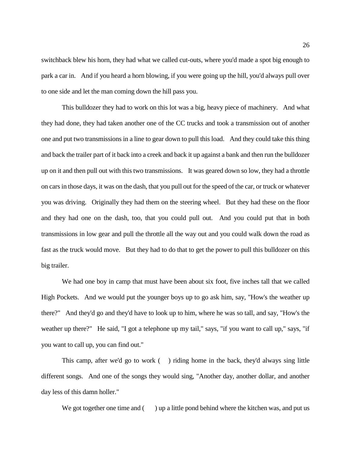switchback blew his horn, they had what we called cut-outs, where you'd made a spot big enough to park a car in. And if you heard a horn blowing, if you were going up the hill, you'd always pull over to one side and let the man coming down the hill pass you.

This bulldozer they had to work on this lot was a big, heavy piece of machinery. And what they had done, they had taken another one of the CC trucks and took a transmission out of another one and put two transmissions in a line to gear down to pull this load. And they could take this thing and back the trailer part of it back into a creek and back it up against a bank and then run the bulldozer up on it and then pull out with this two transmissions. It was geared down so low, they had a throttle on cars in those days, it was on the dash, that you pull out for the speed of the car, or truck or whatever you was driving. Originally they had them on the steering wheel. But they had these on the floor and they had one on the dash, too, that you could pull out. And you could put that in both transmissions in low gear and pull the throttle all the way out and you could walk down the road as fast as the truck would move. But they had to do that to get the power to pull this bulldozer on this big trailer.

We had one boy in camp that must have been about six foot, five inches tall that we called High Pockets. And we would put the younger boys up to go ask him, say, "How's the weather up there?" And they'd go and they'd have to look up to him, where he was so tall, and say, "How's the weather up there?" He said, "I got a telephone up my tail," says, "if you want to call up," says, "if you want to call up, you can find out."

This camp, after we'd go to work ( ) riding home in the back, they'd always sing little different songs. And one of the songs they would sing, "Another day, another dollar, and another day less of this damn holler."

We got together one time and  $($ ) up a little pond behind where the kitchen was, and put us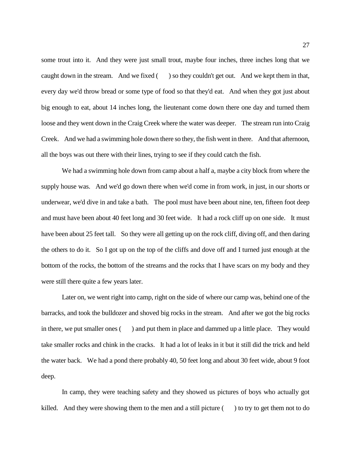some trout into it. And they were just small trout, maybe four inches, three inches long that we caught down in the stream. And we fixed  $($ ) so they couldn't get out. And we kept them in that, every day we'd throw bread or some type of food so that they'd eat. And when they got just about big enough to eat, about 14 inches long, the lieutenant come down there one day and turned them loose and they went down in the Craig Creek where the water was deeper. The stream run into Craig Creek. And we had a swimming hole down there so they, the fish went in there. And that afternoon, all the boys was out there with their lines, trying to see if they could catch the fish.

We had a swimming hole down from camp about a half a, maybe a city block from where the supply house was. And we'd go down there when we'd come in from work, in just, in our shorts or underwear, we'd dive in and take a bath. The pool must have been about nine, ten, fifteen foot deep and must have been about 40 feet long and 30 feet wide. It had a rock cliff up on one side. It must have been about 25 feet tall. So they were all getting up on the rock cliff, diving off, and then daring the others to do it. So I got up on the top of the cliffs and dove off and I turned just enough at the bottom of the rocks, the bottom of the streams and the rocks that I have scars on my body and they were still there quite a few years later.

Later on, we went right into camp, right on the side of where our camp was, behind one of the barracks, and took the bulldozer and shoved big rocks in the stream. And after we got the big rocks in there, we put smaller ones ( ) and put them in place and dammed up a little place. They would take smaller rocks and chink in the cracks. It had a lot of leaks in it but it still did the trick and held the water back. We had a pond there probably 40, 50 feet long and about 30 feet wide, about 9 foot deep.

In camp, they were teaching safety and they showed us pictures of boys who actually got killed. And they were showing them to the men and a still picture  $($ ) to try to get them not to do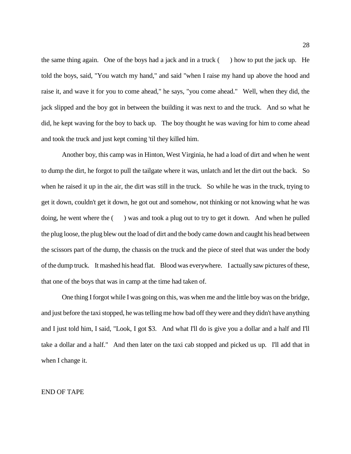the same thing again. One of the boys had a jack and in a truck  $($ ) how to put the jack up. He told the boys, said, "You watch my hand," and said "when I raise my hand up above the hood and raise it, and wave it for you to come ahead," he says, "you come ahead." Well, when they did, the jack slipped and the boy got in between the building it was next to and the truck. And so what he did, he kept waving for the boy to back up. The boy thought he was waving for him to come ahead and took the truck and just kept coming 'til they killed him.

Another boy, this camp was in Hinton, West Virginia, he had a load of dirt and when he went to dump the dirt, he forgot to pull the tailgate where it was, unlatch and let the dirt out the back. So when he raised it up in the air, the dirt was still in the truck. So while he was in the truck, trying to get it down, couldn't get it down, he got out and somehow, not thinking or not knowing what he was doing, he went where the ( ) was and took a plug out to try to get it down. And when he pulled the plug loose, the plug blew out the load of dirt and the body came down and caught his head between the scissors part of the dump, the chassis on the truck and the piece of steel that was under the body of the dump truck. It mashed his head flat. Blood was everywhere. I actually saw pictures of these, that one of the boys that was in camp at the time had taken of.

One thing I forgot while I was going on this, was when me and the little boy was on the bridge, and just before the taxi stopped, he was telling me how bad off they were and they didn't have anything and I just told him, I said, "Look, I got \$3. And what I'll do is give you a dollar and a half and I'll take a dollar and a half." And then later on the taxi cab stopped and picked us up. I'll add that in when I change it.

## END OF TAPE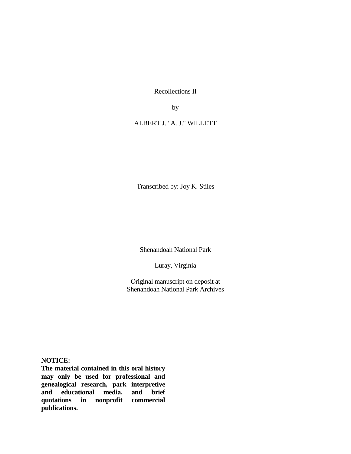Recollections II

by

ALBERT J. "A. J." WILLETT

Transcribed by: Joy K. Stiles

Shenandoah National Park

Luray, Virginia

Original manuscript on deposit at Shenandoah National Park Archives

**NOTICE:**

**The material contained in this oral history may only be used for professional and genealogical research, park interpretive and educational media, and brief quotations in nonprofit commercial publications.**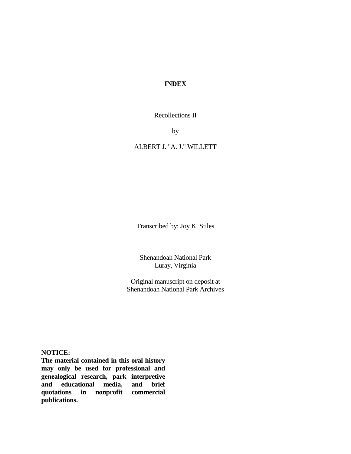# **INDEX**

Recollections II

by

# ALBERT J. "A. J." WILLETT

Transcribed by: Joy K. Stiles

Shenandoah National Park Luray, Virginia

Original manuscript on deposit at Shenandoah National Park Archives

**NOTICE:**

**The material contained in this oral history may only be used for professional and genealogical research, park interpretive and educational media, and brief quotations in nonprofit commercial publications.**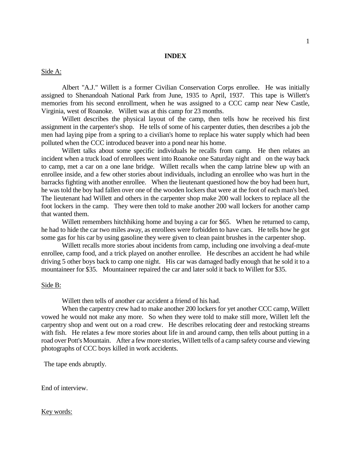#### **INDEX**

Side A:

Albert "A.J." Willett is a former Civilian Conservation Corps enrollee. He was initially assigned to Shenandoah National Park from June, 1935 to April, 1937. This tape is Willett's memories from his second enrollment, when he was assigned to a CCC camp near New Castle, Virginia, west of Roanoke. Willett was at this camp for 23 months.

Willett describes the physical layout of the camp, then tells how he received his first assignment in the carpenter's shop. He tells of some of his carpenter duties, then describes a job the men had laying pipe from a spring to a civilian's home to replace his water supply which had been polluted when the CCC introduced beaver into a pond near his home.

Willett talks about some specific individuals he recalls from camp. He then relates an incident when a truck load of enrollees went into Roanoke one Saturday night and on the way back to camp, met a car on a one lane bridge. Willett recalls when the camp latrine blew up with an enrollee inside, and a few other stories about individuals, including an enrollee who was hurt in the barracks fighting with another enrollee. When the lieutenant questioned how the boy had been hurt, he was told the boy had fallen over one of the wooden lockers that were at the foot of each man's bed. The lieutenant had Willett and others in the carpenter shop make 200 wall lockers to replace all the foot lockers in the camp. They were then told to make another 200 wall lockers for another camp that wanted them.

Willett remembers hitchhiking home and buying a car for \$65. When he returned to camp, he had to hide the car two miles away, as enrollees were forbidden to have cars. He tells how he got some gas for his car by using gasoline they were given to clean paint brushes in the carpenter shop.

Willett recalls more stories about incidents from camp, including one involving a deaf-mute enrollee, camp food, and a trick played on another enrollee. He describes an accident he had while driving 5 other boys back to camp one night. His car was damaged badly enough that he sold it to a mountaineer for \$35. Mountaineer repaired the car and later sold it back to Willett for \$35.

## Side B:

Willett then tells of another car accident a friend of his had.

When the carpentry crew had to make another 200 lockers for yet another CCC camp, Willett vowed he would not make any more. So when they were told to make still more, Willett left the carpentry shop and went out on a road crew. He describes relocating deer and restocking streams with fish. He relates a few more stories about life in and around camp, then tells about putting in a road over Pott's Mountain. After a few more stories, Willett tells of a camp safety course and viewing photographs of CCC boys killed in work accidents.

The tape ends abruptly.

End of interview.

### Key words: